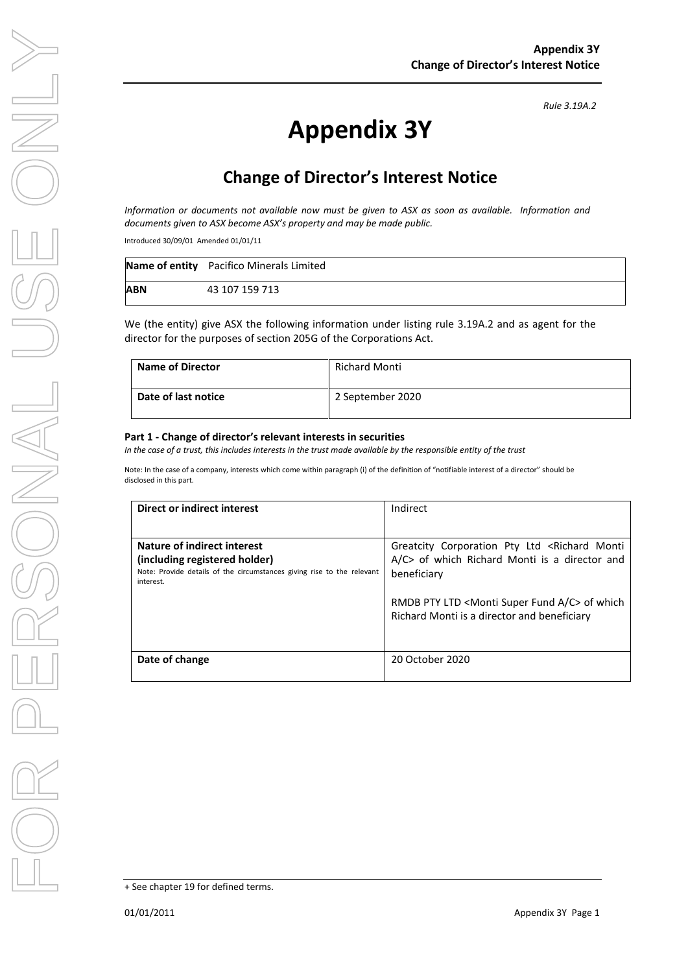# **Appendix 3Y**

## **Change of Director's Interest Notice**

*Information or documents not available now must be given to ASX as soon as available. Information and documents given to ASX become ASX's property and may be made public.*

Introduced 30/09/01 Amended 01/01/11

|            | Name of entity Pacifico Minerals Limited |
|------------|------------------------------------------|
| <b>ABN</b> | 43 107 159 713                           |

We (the entity) give ASX the following information under listing rule 3.19A.2 and as agent for the director for the purposes of section 205G of the Corporations Act.

| <b>Name of Director</b> | <b>Richard Monti</b> |
|-------------------------|----------------------|
| Date of last notice     | 2 September 2020     |

#### **Part 1 - Change of director's relevant interests in securities**

*In the case of a trust, this includes interests in the trust made available by the responsible entity of the trust*

Note: In the case of a company, interests which come within paragraph (i) of the definition of "notifiable interest of a director" should be disclosed in this part.

| Direct or indirect interest                                                                                                                         | Indirect                                                                                                                      |
|-----------------------------------------------------------------------------------------------------------------------------------------------------|-------------------------------------------------------------------------------------------------------------------------------|
|                                                                                                                                                     |                                                                                                                               |
| Nature of indirect interest<br>(including registered holder)<br>Note: Provide details of the circumstances giving rise to the relevant<br>interest. | Greatcity Corporation Pty Ltd <richard monti<br="">A/C&gt; of which Richard Monti is a director and<br/>beneficiary</richard> |
|                                                                                                                                                     | RMDB PTY LTD <monti a="" c="" fund="" super=""> of which<br/>Richard Monti is a director and beneficiary</monti>              |
| Date of change                                                                                                                                      | 20 October 2020                                                                                                               |

*Rule 3.19A.2*

<sup>+</sup> See chapter 19 for defined terms.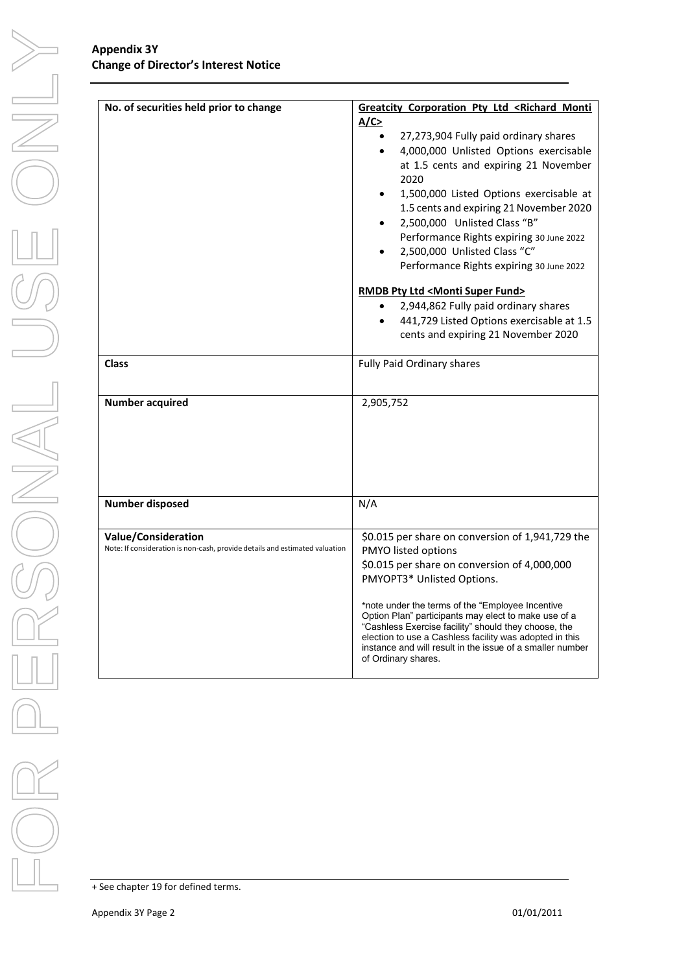#### **Appendix 3Y Change of Director's Interest Notice**

| No. of securities held prior to change                                                                    | Greatcity Corporation Pty Ltd <richard monti<br="">A/C<br/>27,273,904 Fully paid ordinary shares<br/><math display="inline">\bullet</math><br/>4,000,000 Unlisted Options exercisable<br/><math>\bullet</math><br/>at 1.5 cents and expiring 21 November<br/>2020<br/>1,500,000 Listed Options exercisable at<br/>1.5 cents and expiring 21 November 2020<br/>2,500,000 Unlisted Class "B"<br/>Performance Rights expiring 30 June 2022<br/>2,500,000 Unlisted Class "C"<br/>Performance Rights expiring 30 June 2022<br/><b>RMDB Pty Ltd <monti fund="" super=""></monti></b><br/>2,944,862 Fully paid ordinary shares</richard> |  |
|-----------------------------------------------------------------------------------------------------------|-----------------------------------------------------------------------------------------------------------------------------------------------------------------------------------------------------------------------------------------------------------------------------------------------------------------------------------------------------------------------------------------------------------------------------------------------------------------------------------------------------------------------------------------------------------------------------------------------------------------------------------|--|
|                                                                                                           | 441,729 Listed Options exercisable at 1.5<br>cents and expiring 21 November 2020                                                                                                                                                                                                                                                                                                                                                                                                                                                                                                                                                  |  |
| <b>Class</b>                                                                                              | Fully Paid Ordinary shares                                                                                                                                                                                                                                                                                                                                                                                                                                                                                                                                                                                                        |  |
| <b>Number acquired</b>                                                                                    | 2,905,752                                                                                                                                                                                                                                                                                                                                                                                                                                                                                                                                                                                                                         |  |
| <b>Number disposed</b>                                                                                    | N/A                                                                                                                                                                                                                                                                                                                                                                                                                                                                                                                                                                                                                               |  |
| <b>Value/Consideration</b><br>Note: If consideration is non-cash, provide details and estimated valuation | \$0.015 per share on conversion of 1,941,729 the<br>PMYO listed options<br>\$0.015 per share on conversion of 4,000,000<br>PMYOPT3* Unlisted Options.<br>*note under the terms of the "Employee Incentive<br>Option Plan" participants may elect to make use of a<br>"Cashless Exercise facility" should they choose, the<br>election to use a Cashless facility was adopted in this<br>instance and will result in the issue of a smaller number<br>of Ordinary shares.                                                                                                                                                          |  |

+ See chapter 19 for defined terms.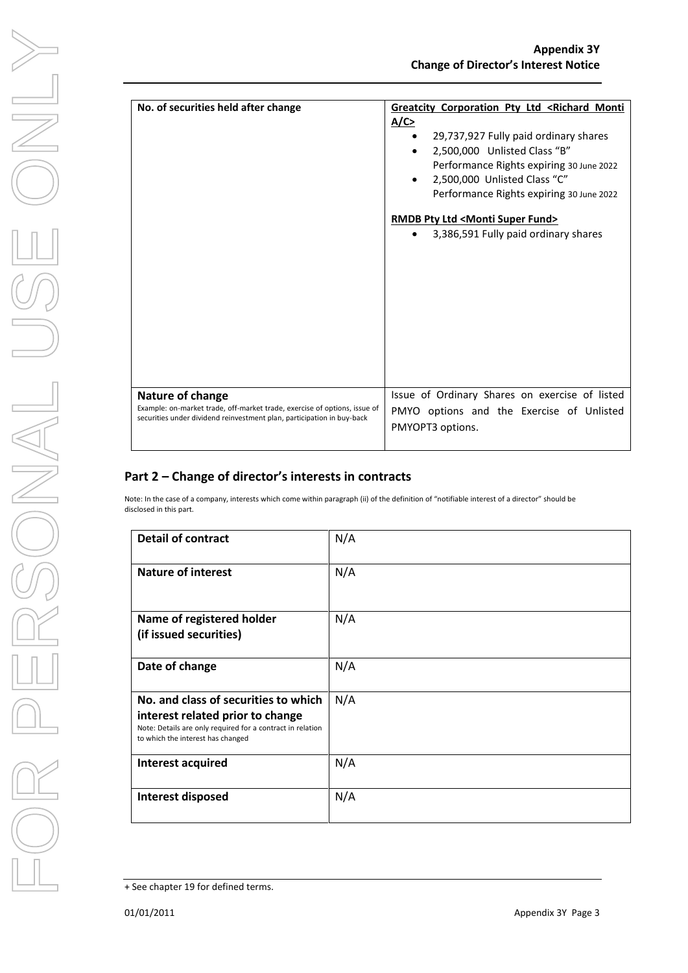| No. of securities held after change                                                                                                                 | <b>Greatcity Corporation Pty Ltd <richard b="" monti<=""><br/>A/C<br/>29,737,927 Fully paid ordinary shares<br/><math display="inline">\bullet</math><br/>2,500,000 Unlisted Class "B"</richard></b> |
|-----------------------------------------------------------------------------------------------------------------------------------------------------|------------------------------------------------------------------------------------------------------------------------------------------------------------------------------------------------------|
|                                                                                                                                                     | Performance Rights expiring 30 June 2022<br>2,500,000 Unlisted Class "C"<br>Performance Rights expiring 30 June 2022                                                                                 |
|                                                                                                                                                     | RMDB Pty Ltd <monti fund="" super=""><br/>3,386,591 Fully paid ordinary shares</monti>                                                                                                               |
| Nature of change                                                                                                                                    | Issue of Ordinary Shares on exercise of listed                                                                                                                                                       |
| Example: on-market trade, off-market trade, exercise of options, issue of<br>securities under dividend reinvestment plan, participation in buy-back | PMYO options and the Exercise of Unlisted<br>PMYOPT3 options.                                                                                                                                        |

### **Part 2 – Change of director's interests in contracts**

Note: In the case of a company, interests which come within paragraph (ii) of the definition of "notifiable interest of a director" should be disclosed in this part.

| <b>Detail of contract</b>                                                                                                                                                   | N/A |
|-----------------------------------------------------------------------------------------------------------------------------------------------------------------------------|-----|
| <b>Nature of interest</b>                                                                                                                                                   | N/A |
| Name of registered holder<br>(if issued securities)                                                                                                                         | N/A |
| Date of change                                                                                                                                                              | N/A |
| No. and class of securities to which<br>interest related prior to change<br>Note: Details are only required for a contract in relation<br>to which the interest has changed | N/A |
| <b>Interest acquired</b>                                                                                                                                                    | N/A |
| <b>Interest disposed</b>                                                                                                                                                    | N/A |

<sup>+</sup> See chapter 19 for defined terms.